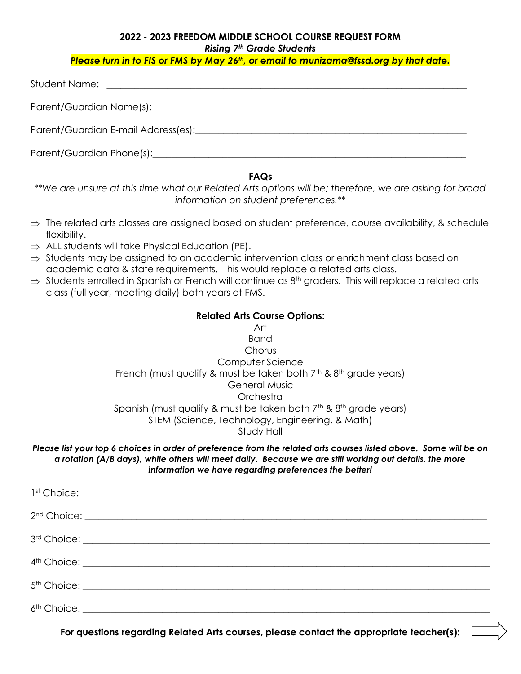## **2022 - 2023 FREEDOM MIDDLE SCHOOL COURSE REQUEST FORM** *Rising 7th Grade Students*

*Please turn in to FIS or FMS by May 26th, or email to [munizama@fssd.org](mailto:munizama@fssd.org) by that date.*

| Student Name:<br><u> 1989 - Andrea Station Barbara (b. 1989)</u>                                                                                                                                                              |
|-------------------------------------------------------------------------------------------------------------------------------------------------------------------------------------------------------------------------------|
|                                                                                                                                                                                                                               |
| Parent/Guardian E-mail Address(es): Letter and the contract of the contract of the contract of the contract of                                                                                                                |
| Parent/Guardian Phone(s): example and a series of the series of the series of the series of the series of the series of the series of the series of the series of the series of the series of the series of the series of the |

### **FAQs**

*\*\*We are unsure at this time what our Related Arts options will be; therefore, we are asking for broad information on student preferences.\*\**

- $\Rightarrow$  The related arts classes are assigned based on student preference, course availability, & schedule flexibility.
- $\Rightarrow$  ALL students will take Physical Education (PE).
- $\Rightarrow$  Students may be assigned to an academic intervention class or enrichment class based on academic data & state requirements. This would replace a related arts class.
- $\Rightarrow$  Students enrolled in Spanish or French will continue as 8<sup>th</sup> graders. This will replace a related arts class (full year, meeting daily) both years at FMS.

### **Related Arts Course Options:**



#### *Please list your top 6 choices in order of preference from the related arts courses listed above. Some will be on a rotation (A/B days), while others will meet daily. Because we are still working out details, the more information we have regarding preferences the better!*

**For questions regarding Related Arts courses, please contact the appropriate teacher(s):**